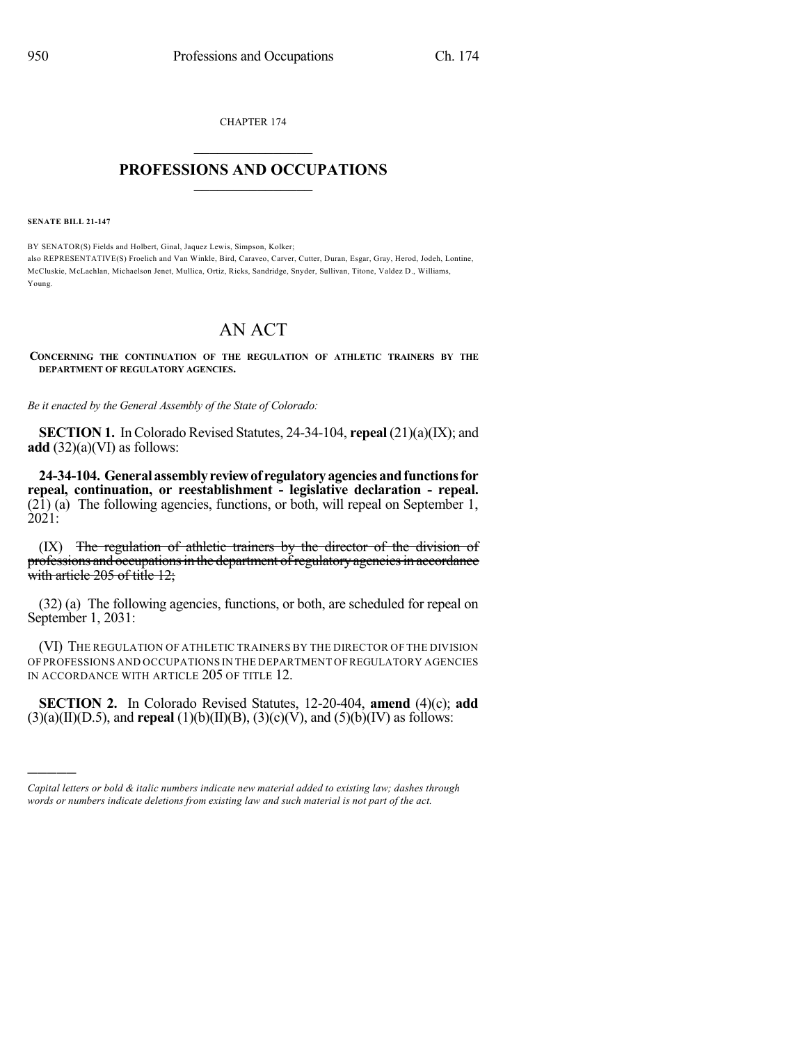CHAPTER 174

## $\overline{\phantom{a}}$  . The set of the set of the set of the set of the set of the set of the set of the set of the set of the set of the set of the set of the set of the set of the set of the set of the set of the set of the set o **PROFESSIONS AND OCCUPATIONS**  $\frac{1}{2}$  ,  $\frac{1}{2}$  ,  $\frac{1}{2}$  ,  $\frac{1}{2}$  ,  $\frac{1}{2}$  ,  $\frac{1}{2}$  ,  $\frac{1}{2}$

**SENATE BILL 21-147**

)))))

BY SENATOR(S) Fields and Holbert, Ginal, Jaquez Lewis, Simpson, Kolker; also REPRESENTATIVE(S) Froelich and Van Winkle, Bird, Caraveo, Carver, Cutter, Duran, Esgar, Gray, Herod, Jodeh, Lontine, McCluskie, McLachlan, Michaelson Jenet, Mullica, Ortiz, Ricks, Sandridge, Snyder, Sullivan, Titone, Valdez D., Williams, Young.

## AN ACT

**CONCERNING THE CONTINUATION OF THE REGULATION OF ATHLETIC TRAINERS BY THE DEPARTMENT OF REGULATORY AGENCIES.**

*Be it enacted by the General Assembly of the State of Colorado:*

**SECTION 1.** InColorado Revised Statutes, 24-34-104, **repeal** (21)(a)(IX); and **add** (32)(a)(VI) as follows:

**24-34-104. Generalassemblyreviewof regulatoryagenciesandfunctionsfor repeal, continuation, or reestablishment - legislative declaration - repeal.** (21) (a) The following agencies, functions, or both, will repeal on September 1, 2021:

(IX) The regulation of athletic trainers by the director of the division of professions and occupations in the department of regulatory agencies in accordance with article 205 of title 12;

(32) (a) The following agencies, functions, or both, are scheduled for repeal on September 1, 2031:

(VI) THE REGULATION OF ATHLETIC TRAINERS BY THE DIRECTOR OF THE DIVISION OF PROFESSIONS AND OCCUPATIONS IN THE DEPARTMENT OFREGULATORY AGENCIES IN ACCORDANCE WITH ARTICLE 205 OF TITLE 12.

**SECTION 2.** In Colorado Revised Statutes, 12-20-404, **amend** (4)(c); **add** (3)(a)(II)(D.5), and **repeal** (1)(b)(II)(B), (3)(c)(V), and (5)(b)(IV) as follows:

*Capital letters or bold & italic numbers indicate new material added to existing law; dashes through words or numbers indicate deletions from existing law and such material is not part of the act.*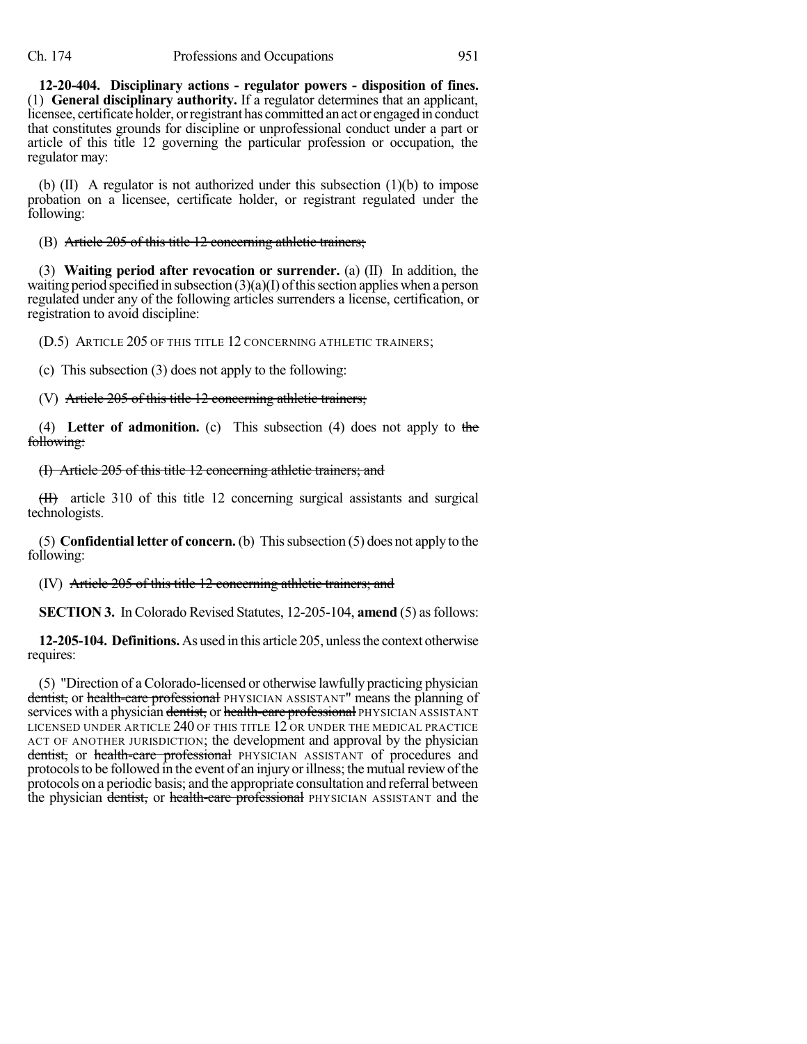**12-20-404. Disciplinary actions - regulator powers - disposition of fines.** (1) **General disciplinary authority.** If a regulator determines that an applicant, licensee, certificate holder, orregistrant has committed an act or engaged in conduct that constitutes grounds for discipline or unprofessional conduct under a part or article of this title 12 governing the particular profession or occupation, the regulator may:

(b) (II) A regulator is not authorized under this subsection (1)(b) to impose probation on a licensee, certificate holder, or registrant regulated under the following:

(B) Article 205 of this title 12 concerning athletic trainers;

(3) **Waiting period after revocation or surrender.** (a) (II) In addition, the waiting period specified in subsection  $(3)(a)(I)$  of this section applies when a person regulated under any of the following articles surrenders a license, certification, or registration to avoid discipline:

(D.5) ARTICLE 205 OF THIS TITLE 12 CONCERNING ATHLETIC TRAINERS;

(c) This subsection (3) does not apply to the following:

(V) Article 205 of this title 12 concerning athletic trainers;

(4) **Letter of admonition.** (c) This subsection (4) does not apply to the following:

## (I) Article 205 of this title 12 concerning athletic trainers; and

(II) article 310 of this title 12 concerning surgical assistants and surgical technologists.

(5) **Confidential letter of concern.** (b) Thissubsection (5) does not apply to the following:

(IV) Article 205 of this title 12 concerning athletic trainers; and

**SECTION 3.** In Colorado Revised Statutes, 12-205-104, **amend** (5) as follows:

**12-205-104. Definitions.**As used in this article 205, unlessthe context otherwise requires:

(5) "Direction of a Colorado-licensed or otherwise lawfully practicing physician dentist, or health-care professional PHYSICIAN ASSISTANT" means the planning of services with a physician dentist, or health-care professional PHYSICIAN ASSISTANT LICENSED UNDER ARTICLE 240 OF THIS TITLE 12 OR UNDER THE MEDICAL PRACTICE ACT OF ANOTHER JURISDICTION; the development and approval by the physician dentist, or health-care professional PHYSICIAN ASSISTANT of procedures and protocols to be followed in the event of an injury or illness; the mutual review of the protocols on a periodic basis; and the appropriate consultation and referral between the physician dentist, or health-care professional PHYSICIAN ASSISTANT and the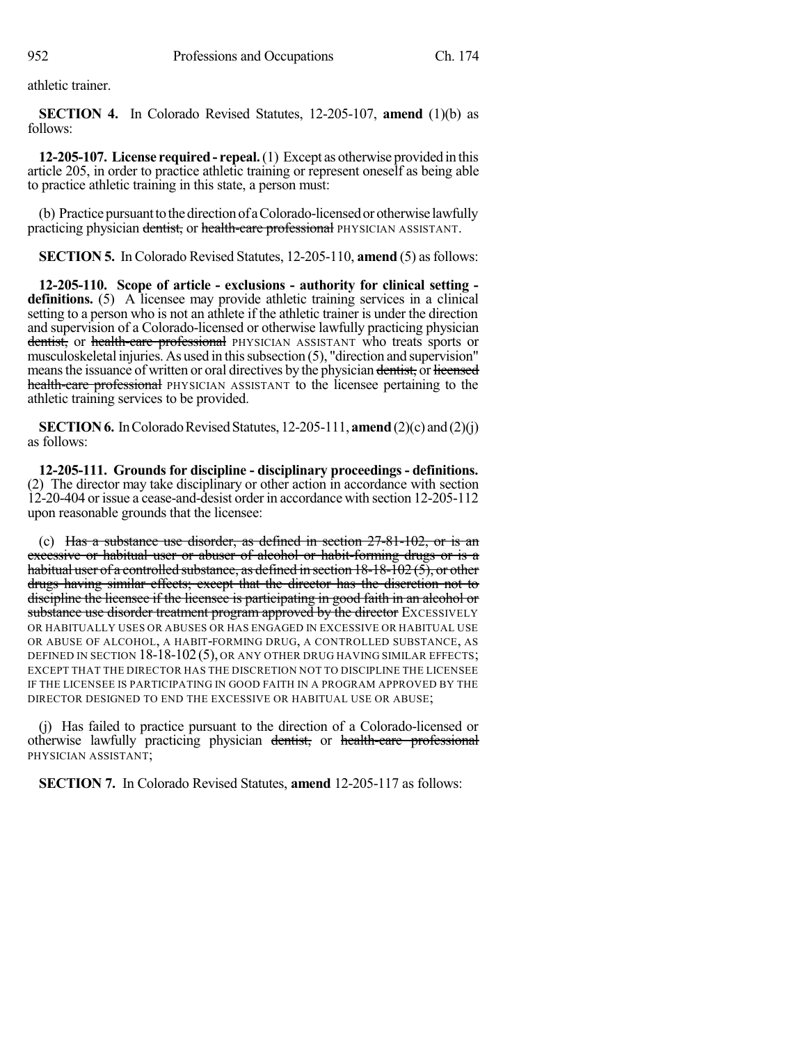athletic trainer.

**SECTION 4.** In Colorado Revised Statutes, 12-205-107, **amend** (1)(b) as follows:

**12-205-107. License required- repeal.**(1) Except as otherwise provided in this article 205, in order to practice athletic training or represent oneself as being able to practice athletic training in this state, a person must:

(b) Practice pursuant to the direction of a Colorado-licensed or otherwise lawfully practicing physician dentist, or health-care professional PHYSICIAN ASSISTANT.

**SECTION 5.** In Colorado Revised Statutes, 12-205-110, **amend** (5) as follows:

**12-205-110. Scope of article - exclusions - authority for clinical setting definitions.** (5) A licensee may provide athletic training services in a clinical setting to a person who is not an athlete if the athletic trainer is under the direction and supervision of a Colorado-licensed or otherwise lawfully practicing physician dentist, or health-care professional PHYSICIAN ASSISTANT who treats sports or musculoskeletal injuries. As used in this subsection (5), "direction and supervision" means the issuance of written or oral directives by the physician dentist, or licensed health-care professional PHYSICIAN ASSISTANT to the licensee pertaining to the athletic training services to be provided.

**SECTION 6.** In Colorado Revised Statutes, 12-205-111, **amend** (2)(c) and (2)(j) as follows:

**12-205-111. Grounds for discipline - disciplinary proceedings - definitions.** (2) The director may take disciplinary or other action in accordance with section 12-20-404 or issue a cease-and-desist order in accordance with section 12-205-112 upon reasonable grounds that the licensee:

(c) Has a substance use disorder, as defined in section 27-81-102, or is an excessive or habitual user or abuser of alcohol or habit-forming drugs or is a habitual user of a controlled substance, as defined in section  $18-18-102(5)$ , or other drugs having similar effects; except that the director has the discretion not to discipline the licensee if the licensee is participating in good faith in an alcohol or substance use disorder treatment program approved by the director EXCESSIVELY OR HABITUALLY USES OR ABUSES OR HAS ENGAGED IN EXCESSIVE OR HABITUAL USE OR ABUSE OF ALCOHOL, A HABIT-FORMING DRUG, A CONTROLLED SUBSTANCE, AS DEFINED IN SECTION 18-18-102 (5), OR ANY OTHER DRUG HAVING SIMILAR EFFECTS; EXCEPT THAT THE DIRECTOR HAS THE DISCRETION NOT TO DISCIPLINE THE LICENSEE IF THE LICENSEE IS PARTICIPATING IN GOOD FAITH IN A PROGRAM APPROVED BY THE DIRECTOR DESIGNED TO END THE EXCESSIVE OR HABITUAL USE OR ABUSE;

(j) Has failed to practice pursuant to the direction of a Colorado-licensed or otherwise lawfully practicing physician dentist, or health-care professional PHYSICIAN ASSISTANT;

**SECTION 7.** In Colorado Revised Statutes, **amend** 12-205-117 as follows: